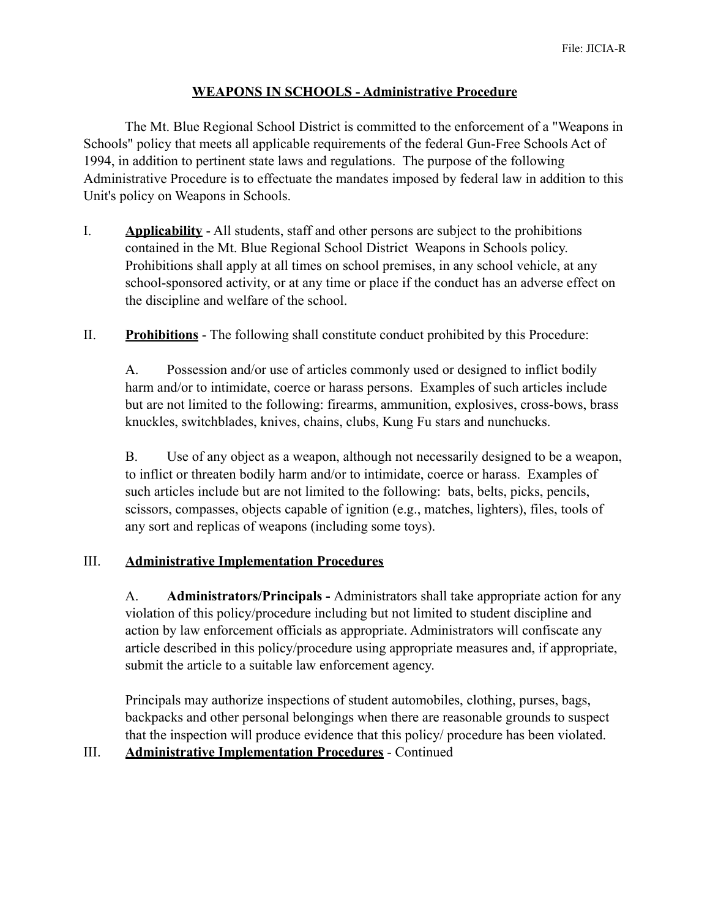## **WEAPONS IN SCHOOLS - Administrative Procedure**

 The Mt. Blue Regional School District is committed to the enforcement of a "Weapons in Schools" policy that meets all applicable requirements of the federal Gun-Free Schools Act of 1994, in addition to pertinent state laws and regulations. The purpose of the following Administrative Procedure is to effectuate the mandates imposed by federal law in addition to this Unit's policy on Weapons in Schools.

- I. **Applicability** All students, staff and other persons are subject to the prohibitions contained in the Mt. Blue Regional School District Weapons in Schools policy. Prohibitions shall apply at all times on school premises, in any school vehicle, at any school-sponsored activity, or at any time or place if the conduct has an adverse effect on the discipline and welfare of the school.
- II. **Prohibitions** The following shall constitute conduct prohibited by this Procedure:

A. Possession and/or use of articles commonly used or designed to inflict bodily harm and/or to intimidate, coerce or harass persons. Examples of such articles include but are not limited to the following: firearms, ammunition, explosives, cross-bows, brass knuckles, switchblades, knives, chains, clubs, Kung Fu stars and nunchucks.

B. Use of any object as a weapon, although not necessarily designed to be a weapon, to inflict or threaten bodily harm and/or to intimidate, coerce or harass. Examples of such articles include but are not limited to the following: bats, belts, picks, pencils, scissors, compasses, objects capable of ignition (e.g., matches, lighters), files, tools of any sort and replicas of weapons (including some toys).

### III. **Administrative Implementation Procedures**

A. **Administrators/Principals -** Administrators shall take appropriate action for any violation of this policy/procedure including but not limited to student discipline and action by law enforcement officials as appropriate. Administrators will confiscate any article described in this policy/procedure using appropriate measures and, if appropriate, submit the article to a suitable law enforcement agency.

Principals may authorize inspections of student automobiles, clothing, purses, bags, backpacks and other personal belongings when there are reasonable grounds to suspect that the inspection will produce evidence that this policy/ procedure has been violated.

III. **Administrative Implementation Procedures** - Continued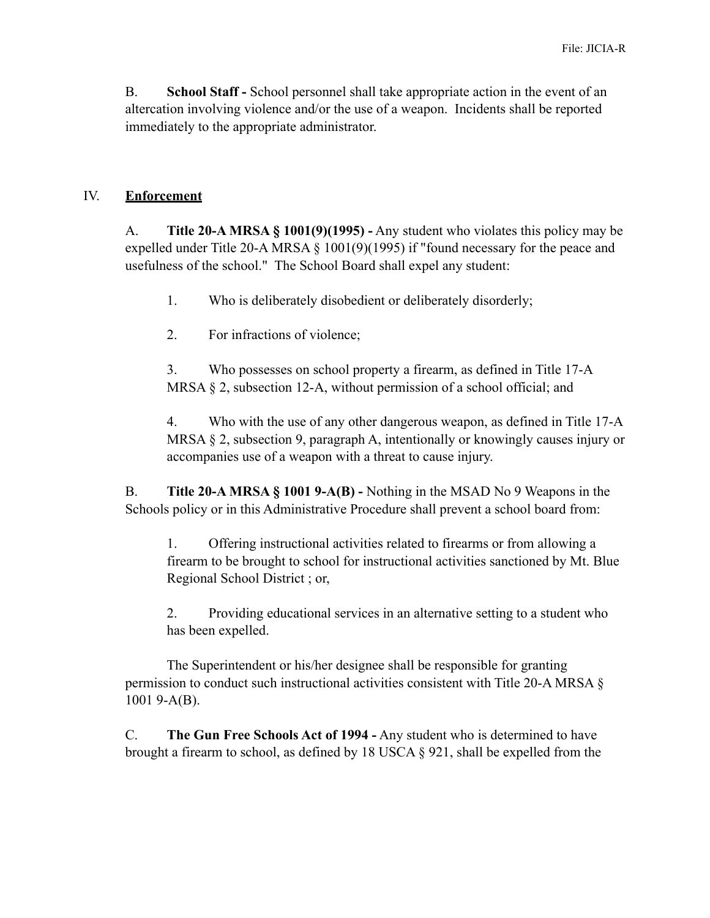B. **School Staff -** School personnel shall take appropriate action in the event of an altercation involving violence and/or the use of a weapon. Incidents shall be reported immediately to the appropriate administrator.

#### IV. **Enforcement**

A. **Title 20-A MRSA § 1001(9)(1995) -** Any student who violates this policy may be expelled under Title 20-A MRSA § 1001(9)(1995) if "found necessary for the peace and usefulness of the school." The School Board shall expel any student:

1. Who is deliberately disobedient or deliberately disorderly;

2. For infractions of violence;

3. Who possesses on school property a firearm, as defined in Title 17-A MRSA § 2, subsection 12-A, without permission of a school official; and

4. Who with the use of any other dangerous weapon, as defined in Title 17-A MRSA § 2, subsection 9, paragraph A, intentionally or knowingly causes injury or accompanies use of a weapon with a threat to cause injury.

B. **Title 20-A MRSA § 1001 9-A(B) -** Nothing in the MSAD No 9 Weapons in the Schools policy or in this Administrative Procedure shall prevent a school board from:

1. Offering instructional activities related to firearms or from allowing a firearm to be brought to school for instructional activities sanctioned by Mt. Blue Regional School District ; or,

2. Providing educational services in an alternative setting to a student who has been expelled.

 The Superintendent or his/her designee shall be responsible for granting permission to conduct such instructional activities consistent with Title 20-A MRSA § 1001 9-A(B).

C. **The Gun Free Schools Act of 1994 -** Any student who is determined to have brought a firearm to school, as defined by 18 USCA § 921, shall be expelled from the